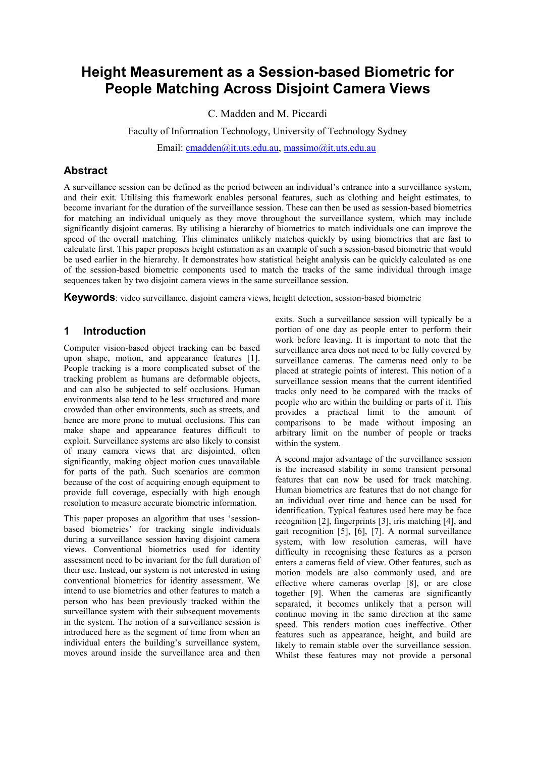# Height Measurement as a Session-based Biometric for People Matching Across Disjoint Camera Views

C. Madden and M. Piccardi

Faculty of Information Technology, University of Technology Sydney

Email: cmadden@it.uts.edu.au, massimo@it.uts.edu.au

# **Abstract**

A surveillance session can be defined as the period between an individual's entrance into a surveillance system, and their exit. Utilising this framework enables personal features, such as clothing and height estimates, to become invariant for the duration of the surveillance session. These can then be used as session-based biometrics for matching an individual uniquely as they move throughout the surveillance system, which may include significantly disjoint cameras. By utilising a hierarchy of biometrics to match individuals one can improve the speed of the overall matching. This eliminates unlikely matches quickly by using biometrics that are fast to calculate first. This paper proposes height estimation as an example of such a session-based biometric that would be used earlier in the hierarchy. It demonstrates how statistical height analysis can be quickly calculated as one of the session-based biometric components used to match the tracks of the same individual through image sequences taken by two disjoint camera views in the same surveillance session.

Keywords: video surveillance, disjoint camera views, height detection, session-based biometric

# 1 Introduction

Computer vision-based object tracking can be based upon shape, motion, and appearance features [1]. People tracking is a more complicated subset of the tracking problem as humans are deformable objects, and can also be subjected to self occlusions. Human environments also tend to be less structured and more crowded than other environments, such as streets, and hence are more prone to mutual occlusions. This can make shape and appearance features difficult to exploit. Surveillance systems are also likely to consist of many camera views that are disjointed, often significantly, making object motion cues unavailable for parts of the path. Such scenarios are common because of the cost of acquiring enough equipment to provide full coverage, especially with high enough resolution to measure accurate biometric information.

This paper proposes an algorithm that uses 'sessionbased biometrics' for tracking single individuals during a surveillance session having disjoint camera views. Conventional biometrics used for identity assessment need to be invariant for the full duration of their use. Instead, our system is not interested in using conventional biometrics for identity assessment. We intend to use biometrics and other features to match a person who has been previously tracked within the surveillance system with their subsequent movements in the system. The notion of a surveillance session is introduced here as the segment of time from when an individual enters the building's surveillance system, moves around inside the surveillance area and then

exits. Such a surveillance session will typically be a portion of one day as people enter to perform their work before leaving. It is important to note that the surveillance area does not need to be fully covered by surveillance cameras. The cameras need only to be placed at strategic points of interest. This notion of a surveillance session means that the current identified tracks only need to be compared with the tracks of people who are within the building or parts of it. This provides a practical limit to the amount of comparisons to be made without imposing an arbitrary limit on the number of people or tracks within the system.

A second major advantage of the surveillance session is the increased stability in some transient personal features that can now be used for track matching. Human biometrics are features that do not change for an individual over time and hence can be used for identification. Typical features used here may be face recognition [2], fingerprints [3], iris matching [4], and gait recognition [5], [6], [7]. A normal surveillance system, with low resolution cameras, will have difficulty in recognising these features as a person enters a cameras field of view. Other features, such as motion models are also commonly used, and are effective where cameras overlap [8], or are close together [9]. When the cameras are significantly separated, it becomes unlikely that a person will continue moving in the same direction at the same speed. This renders motion cues ineffective. Other features such as appearance, height, and build are likely to remain stable over the surveillance session. Whilst these features may not provide a personal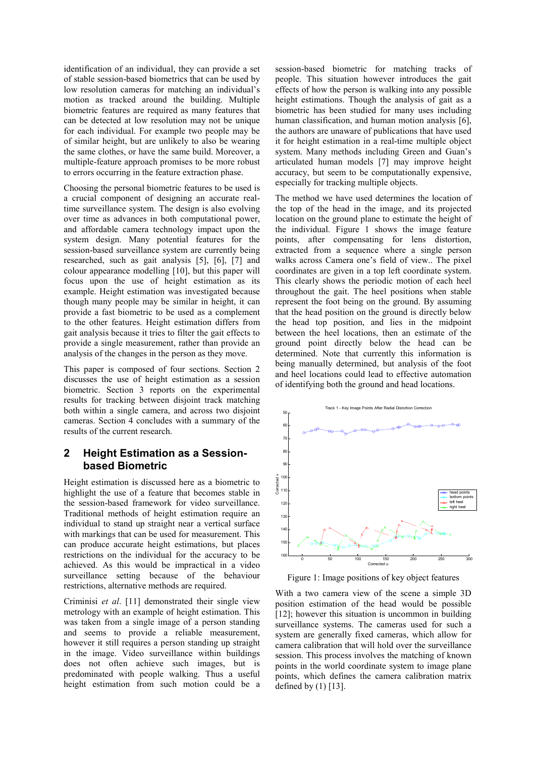identification of an individual, they can provide a set of stable session-based biometrics that can be used by low resolution cameras for matching an individual's motion as tracked around the building. Multiple biometric features are required as many features that can be detected at low resolution may not be unique for each individual. For example two people may be of similar height, but are unlikely to also be wearing the same clothes, or have the same build. Moreover, a multiple-feature approach promises to be more robust to errors occurring in the feature extraction phase.

Choosing the personal biometric features to be used is a crucial component of designing an accurate realtime surveillance system. The design is also evolving over time as advances in both computational power, and affordable camera technology impact upon the system design. Many potential features for the session-based surveillance system are currently being researched, such as gait analysis [5], [6], [7] and colour appearance modelling [10], but this paper will focus upon the use of height estimation as its example. Height estimation was investigated because though many people may be similar in height, it can provide a fast biometric to be used as a complement to the other features. Height estimation differs from gait analysis because it tries to filter the gait effects to provide a single measurement, rather than provide an analysis of the changes in the person as they move.

This paper is composed of four sections. Section 2 discusses the use of height estimation as a session biometric. Section 3 reports on the experimental results for tracking between disjoint track matching both within a single camera, and across two disjoint cameras. Section 4 concludes with a summary of the results of the current research.

#### 2 Height Estimation as a Sessionbased Biometric

Height estimation is discussed here as a biometric to highlight the use of a feature that becomes stable in the session-based framework for video surveillance. Traditional methods of height estimation require an individual to stand up straight near a vertical surface with markings that can be used for measurement. This can produce accurate height estimations, but places restrictions on the individual for the accuracy to be achieved. As this would be impractical in a video surveillance setting because of the behaviour restrictions, alternative methods are required.

Criminisi et al. [11] demonstrated their single view metrology with an example of height estimation. This was taken from a single image of a person standing and seems to provide a reliable measurement, however it still requires a person standing up straight in the image. Video surveillance within buildings does not often achieve such images, but is predominated with people walking. Thus a useful height estimation from such motion could be a session-based biometric for matching tracks of people. This situation however introduces the gait effects of how the person is walking into any possible height estimations. Though the analysis of gait as a biometric has been studied for many uses including human classification, and human motion analysis [6], the authors are unaware of publications that have used it for height estimation in a real-time multiple object system. Many methods including Green and Guan's articulated human models [7] may improve height accuracy, but seem to be computationally expensive, especially for tracking multiple objects.

The method we have used determines the location of the top of the head in the image, and its projected location on the ground plane to estimate the height of the individual. Figure 1 shows the image feature points, after compensating for lens distortion, extracted from a sequence where a single person walks across Camera one's field of view.. The pixel coordinates are given in a top left coordinate system. This clearly shows the periodic motion of each heel throughout the gait. The heel positions when stable represent the foot being on the ground. By assuming that the head position on the ground is directly below the head top position, and lies in the midpoint between the heel locations, then an estimate of the ground point directly below the head can be determined. Note that currently this information is being manually determined, but analysis of the foot and heel locations could lead to effective automation of identifying both the ground and head locations.



Figure 1: Image positions of key object features

With a two camera view of the scene a simple 3D position estimation of the head would be possible [12]; however this situation is uncommon in building surveillance systems. The cameras used for such a system are generally fixed cameras, which allow for camera calibration that will hold over the surveillance session. This process involves the matching of known points in the world coordinate system to image plane points, which defines the camera calibration matrix defined by  $(1)$  [13].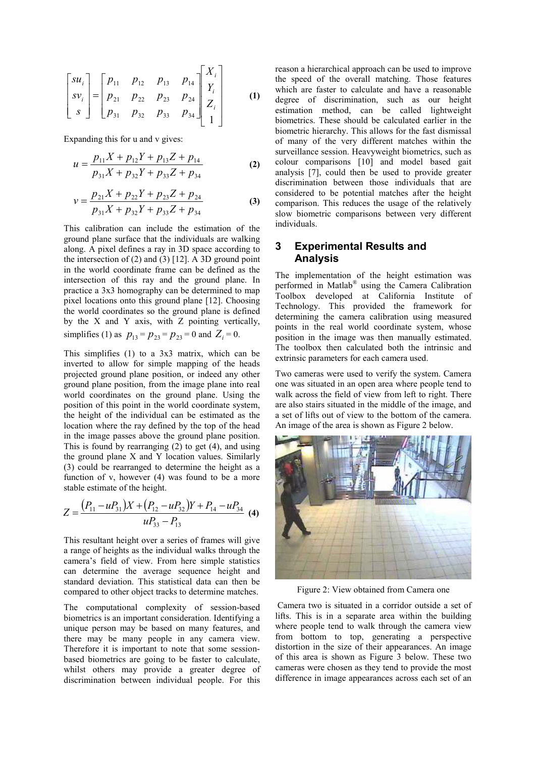$$
\begin{bmatrix} su_i \\ sv_i \\ s \end{bmatrix} = \begin{bmatrix} p_{11} & p_{12} & p_{13} & p_{14} \\ p_{21} & p_{22} & p_{23} & p_{24} \\ p_{31} & p_{32} & p_{33} & p_{34} \end{bmatrix} \begin{bmatrix} X_i \\ Y_i \\ Z_i \\ 1 \end{bmatrix}
$$
 (1)

Expanding this for u and v gives:

$$
u = \frac{p_{11}X + p_{12}Y + p_{13}Z + p_{14}}{p_{31}X + p_{32}Y + p_{33}Z + p_{34}}
$$
 (2)

$$
v = \frac{p_{21}X + p_{22}Y + p_{23}Z + p_{24}}{p_{31}X + p_{32}Y + p_{33}Z + p_{34}}
$$
(3)

This calibration can include the estimation of the ground plane surface that the individuals are walking along. A pixel defines a ray in 3D space according to the intersection of  $(2)$  and  $(3)$  [12]. A 3D ground point in the world coordinate frame can be defined as the intersection of this ray and the ground plane. In practice a 3x3 homography can be determined to map pixel locations onto this ground plane [12]. Choosing the world coordinates so the ground plane is defined by the X and Y axis, with Z pointing vertically, simplifies (1) as  $p_{13} = p_{23} = p_{23} = 0$  and  $Z_i = 0$ .

This simplifies (1) to a 3x3 matrix, which can be inverted to allow for simple mapping of the heads projected ground plane position, or indeed any other ground plane position, from the image plane into real world coordinates on the ground plane. Using the position of this point in the world coordinate system, the height of the individual can be estimated as the location where the ray defined by the top of the head in the image passes above the ground plane position. This is found by rearranging (2) to get (4), and using the ground plane X and Y location values. Similarly (3) could be rearranged to determine the height as a function of v, however (4) was found to be a more stable estimate of the height.

$$
Z = \frac{(P_{11} - uP_{31})X + (P_{12} - uP_{32})Y + P_{14} - uP_{34}}{uP_{33} - P_{13}}
$$
(4)

This resultant height over a series of frames will give a range of heights as the individual walks through the camera's field of view. From here simple statistics can determine the average sequence height and standard deviation. This statistical data can then be compared to other object tracks to determine matches.

The computational complexity of session-based biometrics is an important consideration. Identifying a unique person may be based on many features, and there may be many people in any camera view. Therefore it is important to note that some sessionbased biometrics are going to be faster to calculate, whilst others may provide a greater degree of discrimination between individual people. For this

reason a hierarchical approach can be used to improve the speed of the overall matching. Those features which are faster to calculate and have a reasonable degree of discrimination, such as our height estimation method, can be called lightweight biometrics. These should be calculated earlier in the biometric hierarchy. This allows for the fast dismissal of many of the very different matches within the surveillance session. Heavyweight biometrics, such as colour comparisons [10] and model based gait analysis [7], could then be used to provide greater discrimination between those individuals that are considered to be potential matches after the height comparison. This reduces the usage of the relatively slow biometric comparisons between very different individuals.

#### 3 Experimental Results and Analysis

The implementation of the height estimation was performed in Matlab® using the Camera Calibration Toolbox developed at California Institute of Technology. This provided the framework for determining the camera calibration using measured points in the real world coordinate system, whose position in the image was then manually estimated. The toolbox then calculated both the intrinsic and extrinsic parameters for each camera used.

Two cameras were used to verify the system. Camera one was situated in an open area where people tend to walk across the field of view from left to right. There are also stairs situated in the middle of the image, and a set of lifts out of view to the bottom of the camera. An image of the area is shown as Figure 2 below.



Figure 2: View obtained from Camera one

 Camera two is situated in a corridor outside a set of lifts. This is in a separate area within the building where people tend to walk through the camera view from bottom to top, generating a perspective distortion in the size of their appearances. An image of this area is shown as Figure 3 below. These two cameras were chosen as they tend to provide the most difference in image appearances across each set of an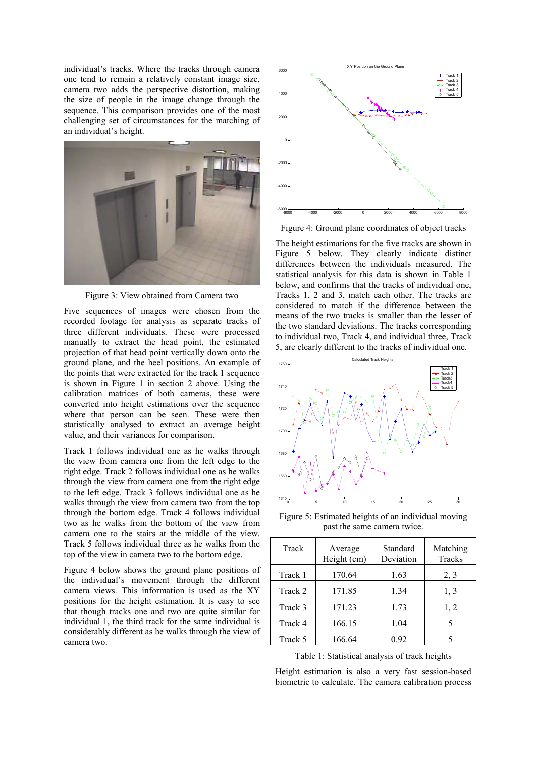individual's tracks. Where the tracks through camera one tend to remain a relatively constant image size, camera two adds the perspective distortion, making the size of people in the image change through the sequence. This comparison provides one of the most challenging set of circumstances for the matching of an individual's height.



Figure 3: View obtained from Camera two

Five sequences of images were chosen from the recorded footage for analysis as separate tracks of three different individuals. These were processed manually to extract the head point, the estimated projection of that head point vertically down onto the ground plane, and the heel positions. An example of the points that were extracted for the track 1 sequence is shown in Figure 1 in section 2 above. Using the calibration matrices of both cameras, these were converted into height estimations over the sequence where that person can be seen. These were then statistically analysed to extract an average height value, and their variances for comparison.

Track 1 follows individual one as he walks through the view from camera one from the left edge to the right edge. Track 2 follows individual one as he walks through the view from camera one from the right edge to the left edge. Track 3 follows individual one as he walks through the view from camera two from the top through the bottom edge. Track 4 follows individual two as he walks from the bottom of the view from camera one to the stairs at the middle of the view. Track 5 follows individual three as he walks from the top of the view in camera two to the bottom edge.

Figure 4 below shows the ground plane positions of the individual's movement through the different camera views. This information is used as the XY positions for the height estimation. It is easy to see that though tracks one and two are quite similar for individual 1, the third track for the same individual is considerably different as he walks through the view of camera two.



Figure 4: Ground plane coordinates of object tracks

The height estimations for the five tracks are shown in Figure 5 below. They clearly indicate distinct differences between the individuals measured. The statistical analysis for this data is shown in Table 1 below, and confirms that the tracks of individual one, Tracks 1, 2 and 3, match each other. The tracks are considered to match if the difference between the means of the two tracks is smaller than the lesser of the two standard deviations. The tracks corresponding to individual two, Track 4, and individual three, Track 5, are clearly different to the tracks of individual one.



Figure 5: Estimated heights of an individual moving past the same camera twice.

| Track   | Average<br>Height (cm) | Standard<br>Deviation | Matching<br>Tracks |
|---------|------------------------|-----------------------|--------------------|
| Track 1 | 170.64                 | 1.63                  | 2, 3               |
| Track 2 | 171.85                 | 1.34                  | 1, 3               |
| Track 3 | 171.23                 | 1.73                  | 1, 2               |
| Track 4 | 166.15                 | 1.04                  | 5                  |
| Track 5 | 166.64                 | 0.92                  |                    |

Table 1: Statistical analysis of track heights

Height estimation is also a very fast session-based biometric to calculate. The camera calibration process